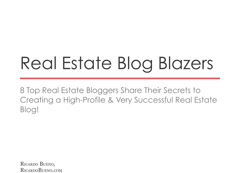## Real Estate Blog Blazers

8 Top Real Estate Bloggers Share Their Secrets to Creating a High-Profile & Very Successful Real Estate Blog!

RICARDO BUENO, RICARDOBUENO.COM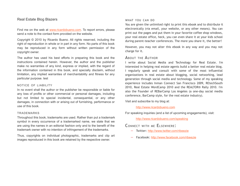#### Real Estate Blog Blazers

Find me on the web at [www.ricardobueno.com.](http://www.ricardobueno.com/) To report errors, please send a note to the contact form provided on the website.

Copyright © 2010 by Ricardo Bueno. All rights reserved, including the right of reproduction in whole or in part in any form. No parts of this book may be reproduced in any form without written permission of the copyright owner.

The author has used his best efforts in preparing this book and the instructions contained herein. However, the author and the publisher make no warranties of any kind, express or implied, with the regard of the information contained in this book, and specially disclaim, without limitation, any implied warranties of merchantability and fitness for any particular purpose. test

#### NOTICE OF LIABILITY

In no event shall the author or the publisher be responsible or liable for any loss of profits or other commercial or personal damages, including but not limited to special incidental, consequential, or any other damages, in connection with or arising out of furnishing, performance or use of this book.

#### TRADEMARKS

Throughout this book, trademarks are used. Rather than put a trademark symbol in every occurrence of a trademarked name, we state that we are using the names in an editorial fashion only and to the benefit of the trademark owner with no intention of infringement of the trademarks.

Thus, copyrights on individual photographic, trademarks and clip art images reproduced in this book are retained by the respective owner.

#### WHAT YOU CAN DO

You are given the unlimited right to print this ebook and to distribute it electronically (via email, your website, or any other means). You can print out the pages and put them in your favorite coffee shop windows, your real estate office, heck, you can even share it at your kids school during parent-teacher conferences. The more you share it, the better!

However, you may not alter this ebook in any way and you may not charge for it.

#### ABOUT THE AUTHOR

I write about Social Media and Technology for Real Estate. I'm interested in helping real estate agents build a better real estate blog. I regularly speak and consult with some of the most influential organizations in real estate about blogging, social networking, lead generation through social media and technology. Some of my speaking experience includes Inman Connect San Francisco 2009, REtechSouth 2010, Real Estate WordCamp 2010 and the REALTOR® Rally 2010. I'm also the Founder of REBarCamp Los Angeles (a one-day social media conference, BarCamp style, for the real estate industry).

Visit and subscribe to my blog at:

[http://www.ricardobueno.com](http://www.ricardobueno.com/)

For speaking inquiries (and a list of upcoming engagements), visit:

<http://www.ricardobueno.com/speaking>

#### CONNECT WITH ME ELSEWHERE:

- **–** Twitter: <http://www.twitter.com/ribeezie>
- **–** Facebook: <http://www.facebook.com/ribeezie>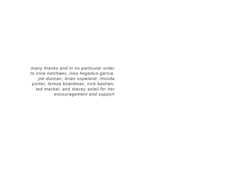*many thanks and in no particular order to irina netchaev, ines hegedus-garcia, jim duncan, brian copeland, rhonda porter, teresa boardman, nick bastian, ted mackel, and stacey soleil for her encouragement and support*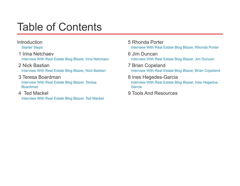### Table of Contents

### [Introduction](#page-4-0)

[Starter Steps](#page-5-0)

 [1 Irina Netchaev](#page-8-1) [Interview With Real Estate Blog Blazer, Irina Netchaev](#page-8-0)

### [2 Nick Bastian](#page-13-1)

[Interview With Real Estate Blog Blazer, Nick Bastian](#page-13-0)

### [3 Teresa Boardman](#page-17-1)

[Interview With Real Estate Blog Blazer, Teresa](#page-17-0) [Boardman](#page-17-0)

### [4 Ted Mackel](#page-22-1)

[Interview With Real Estate Blog Blazer, Ted Mackel](#page-22-0)

- [5 Rhonda Porter](#page-28-1) [Interview With Real Estate Blog Blazer, Rhonda Porter](#page-28-0)
- [6 Jim Duncan](#page-35-1) [Interview With Real Estate Blog Blazer, Jim Duncan](#page-35-0)
- [7 Brian Copeland](#page-41-1) [Interview With Real Estate Blog Blazer, Brian Copeland](#page-41-0)
- [8 Ines Hegedes-Garcia](#page-47-1)

[Interview With Real Estate Blog Blazer, Ines Hegedus-](#page-47-0)[Garcia](#page-47-0)

 [9 Tools And Resources](#page-52-0)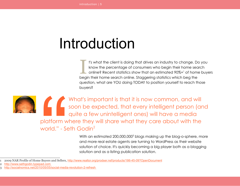## <span id="page-4-0"></span>Introduction

t's what the client is doing that drives an industry to change. Do you know the percentage of consumers who begin their home search online? Recent statistics show that an estimated 90%+[1](#page-4-1) of home buyers begin their home search online. Staggering statistics which beg the question, what are YOU doing TODAY to position yourself to reach those buyers? I

What's important is that it is now common, and will soon be expected, that every intelligent person (and quite a few unintelligent ones) will have a media platform where they will share what they care about with the world." - Seth Godin $2$ platform w<br>world." - Se<br>Buyers and Sellers, <u>the Ruyers</u> and Sellers, <u>the Mondale</u><br>0/05/05/social-media

With an estimated 200,000,000<sup>[3](#page-4-3)</sup> blogs making up the blog-o-sphere, more and more real estate agents are turning to WordPress as their website solution of choice. It's quickly becoming a big player both as a blogging solution and as a listing publication solution.

<span id="page-4-2"></span>2 [http://www.sethgodin.typepad.com](http://www.sethgodin.typepad.com/)

<span id="page-4-1"></span><sup>1</sup> 2009 NAR Profile of Home Buyers and Sellers, <http://www.realtor.org/prodser.nsf/products/186-45-09?OpenDocument>

<span id="page-4-3"></span><http://socialnomics.net/2010/05/05/social-media-revolution-2-refresh>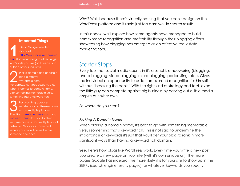**Important Things**

Get a Google Reader account:

[http://www.google.com/rea](http://www.google.com/reader) [der.](http://www.google.com/reader) Start subscribing to other blogs who's style you like (both inside and outside of your industry). **1**

Pick a domain and choose a blog platform: Wordpress.com, wordpress.org, typepad.com, etc. When it comes to domain name, pick something memorable versus something that's keyword rich. 2

For branding purposes, register your profile/username across multiple platforms. se [usernamecheck.com](http://www.usernamecheck.com/) and [knowem.com](http://www.knowem.com/) allow you to check your username across multiple social networks. Grab your name and secure your brand online before someone else does. 3

Why? Well, because there's virtually nothing that you can't design on the WordPress platform and it ranks just too darn well in search results.

In this ebook, we'll explore how some agents have managed to build name/brand recognition and profitability through their blogging efforts showcasing how blogging has emerged as an effective real estate marketing tool.

### <span id="page-5-0"></span>Starter Steps

Every tool that social media counts in it's arsenal is empowering (blogging, photo-blogging, video-blogging, micro-blogging, podcasting, etc.). Gives the individual an opportunity to build name/brand recognition for himself without "breaking the bank." With the right kind of strategy and tact, even the little guy can compete against big business by carving out a little media empire of his/her own.

So where do you start?

#### *Picking A Domain Name*

When picking a domain name, it's best to go with something memorable versus something that's keyword rich. This is not said to undermine the importance of keywords it's just that you'll get your blog to rank in more significant ways than having a keyword rich domain.

See, here's how blogs like WordPress work. Every time you write a new post, you create a new page on your site (with it's own unique url). The more pages Google has indexed, the more likely it is for your site to show up in the SERPs (search engine results pages) for whatever keywords you specify.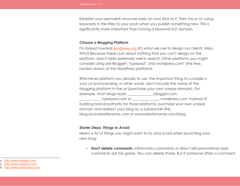Establish your permalink structure early on and stick to it. Then focus on using keywords in the titles to your posts when you publish something new. This is significantly more important than having a keyword rich domain.

#### *Choose a Blogging Platform*

I'm biased towards **[wordpress.org](http://www.wordpress.org/)** (it's what we use to design our clients' sites). Why? Because there's just about nothing that you can't design on the platform, and it ranks extremely well in search. Other platforms you might consider using are Blogger<sup>[4](#page-6-0)</sup>, Typepad<sup>[5](#page-6-1)</sup>, and wordpress.com<sup>[6](#page-6-2)</sup> (the free, hosted version of the WordPress platform).

Whichever platform you decide to use, the important thing to consider is your url and branding. In other words, don't include the name of the blogging platform in the url (purchase your own unique domain). For example, most blogs read: \_\_\_\_\_\_\_\_\_\_\_\_\_\_.blogger.com, \_\_\_\_\_\_\_\_\_\_\_\_.typepad.com or \_\_\_\_\_\_\_\_\_\_\_\_\_\_\_.wordpress.com. Instead of building brand/authority for those platforms, purchase your own unique domain and redirect your blog no a subdomain like: blog.yourwebsitename.com or yourwebsitename.com/blog.

#### *Starter Steps: Things to Avoid*

Here's a list of things you might want to try and avoid when launching your new blog:

**• Don't delete comments.** Inflamatory comments or direct self-promotional type comments are fair game. You can delete those. But if someone offers a comment

- <span id="page-6-0"></span>4 [http://www.blogger.com](http://www.blogger.com/)
- <span id="page-6-1"></span>5 [http://www.typepad.com](http://www.typepad.com/)

<span id="page-6-2"></span><sup>6</sup> [http://www.wordpress.com](http://www.wordpress.com/)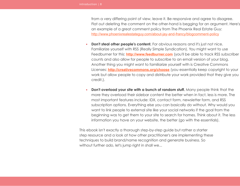from a very differing point of view, leave it. Be responsive and agree to disagree. Flat out deleting the comment on the other-hand is begging for an argument. Here's an example of a great comment policy from The Phoenix Real Estate Guy: <http://www.phoenixrealestateguy.com/about-jay-and-francy/blogcomment-policy>

- **Don't steal other people's content.** For obvious reasons and it's just not nice. Familiarize yourself with RSS (Really Simple Syndication). You might want to use Feedburner for this: **[http://www.feedburner.com](http://www.feedburner.com/)** (you'll be able to track RSS subscriber counts and also allow for people to subscribe to an email version of your blog. Another thing you might want to familiarize yourself with is Creative Commons Licenses: **<http://creativecommons.org/choose>** (you essentially keep copyright to your work but allow people to copy and distribute your work provided that they give you credit.).
- **• Don't overload your site with a bunch of random stuff.** Many people think that the more they overload their sidebar content the better when in fact, less is more. The most important features include: IDX, contact form, newsletter form, and RSS subscription options. Everything else you can basically do without. Why would you want to link people to external site like your social networks if the goal from the beginning was to get them to your site to search for homes. Think about it. The less information you have on your website, the better (go with the essentials).

This ebook isn't exactly a thorough step-by-step guide but rather a starter step resource and a look at how other practitioner's are implementing these techniques to build brand/name recognition and generate business. So without further ado, let's jump right in shall we...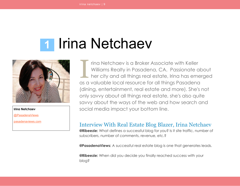## <span id="page-8-1"></span>**1 Irina Netchaev**



**Irina Netchaev** [@PasadenaViews](http://www.twitter.com/pasadenaviews) [pasadenaviews.com](http://www.pasadenaviews.com/)

rina Netchaev is a Broker Associate with Keller Williams Realty in Pasadena, CA. Passionate about her city and all things real estate, Irina has emerged as a valuable local resource for all things Pasadena (dining, entertainment, real estate and more). She's not only savvy about all things real estate, she's also quite savvy about the ways of the web and how search and social media impact your bottom line. I

#### <span id="page-8-0"></span>Interview With Real Estate Blog Blazer, Irina Netchaev

**@Ribeezie:** What defines a successful blog for you? Is it site traffic, number of subscribers, number of comments, revenue, etc.?

**@PasadenaViews:** A successful real estate blog is one that generates leads.

**@Ribeezie:** When did you decide you finally reached success with your blog?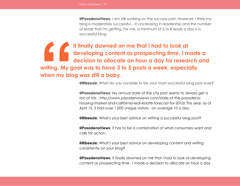**@PasadenaViews:** I am still working on the success part. However, I think my blog is moderately successful – it's increasing in readership and the number of leads that I'm getting. For me, a minimum of 5 to 8 leads a day is a successful blog.

**It finally dawned on me that I had to look at developing content as prospecting time. I made a decision to allocate an hour a day for research and writing. My goal was to have 3 to 5 posts a week, especially when my blog was still a baby. Example 12**<br>Writing. My g<br>when my blo

**@Ribeezie:** What do you consider to be your most successful blog post ever?

**@PasadenaViews:** My annual state of the city post seems to always get a ton of hits - http://www.pasadenaviews.com/state-of-the-pasadenahousing-market-and-california-real-estate-forecast-for-2010/ This year, as of April 15, it had over 1,000 unique visitors - on average 10 a day.

**@Ribeezie:** What's your best advice on writing a successful blog post?

**@PasadenaViews:** It has to be a combination of what consumers want and calls for action.

**@Ribeezie:** What's your best advice on developing content and writing consistently on your blog?

**@PasadenaViews:** It finally dawned on me that I had to look at developing content as prospecting time. I made a decision to allocate an hour a day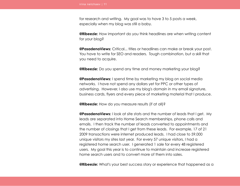for research and writing. My goal was to have 3 to 5 posts a week, especially when my blog was still a baby.

**@Ribeezie:** How important do you think headlines are when writing content for your blog?

**@PasadenaViews:** Critical... titles or headlines can make or break your post. You have to write for SEO and readers. Tough combination, but a skill that you need to acquire.

**@Ribeezie:** Do you spend any time and money marketing your blog?

**@PasadenaViews:** I spend time by marketing my blog on social media networks. I have not spend any dollars yet for PPC or other types of advertising. However, I also use my blog's domain in my email signature, business cards, flyers and every piece of marketing material that I produce.

**@Ribeezie:** How do you measure results (if at all)?

**@PasadenaViews:** I look at site stats and the number of leads that I get. My leads are separated into Home Search memberships, phone calls and emails. I then track the number of leads converted to appointments and the number of closings that I get from these leads. For example, 17 of 21 2009 transactions were internet produced leads. I had close to 59,000 unique visitors my sites last year. For every 57 unique visitors, I had a registered home search user. I generated 1 sale for every 48 registered users. My goal this year is to continue to maintain and increase registered home search users and to convert more of them into sales.

**@Ribeezie:** What's your best success story or experience that happened as a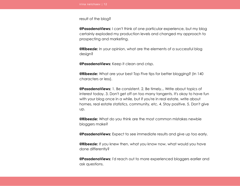result of the blog?

**@PasadenaViews:** I can't think of one particular experience, but my blog certainly exploded my production levels and changed my approach to prospecting and marketing.

**@Ribeezie:** In your opinion, what are the elements of a successful blog design?

**@PasadenaViews:** Keep it clean and crisp.

**@Ribeezie:** What are your best Top Five tips for better blogging? (In 140 characters or less).

**@PasadenaViews:** 1. Be consistent. 2. Be timely... Write about topics of interest today. 3. Don't get off on too many tangents. It's okay to have fun with your blog once in a while, but if you're in real estate, write about homes, real estate statistics, community, etc. 4. Stay positive. 5. Don't give up.

**@Ribeezie:** What do you think are the most common mistakes newbie bloggers make?

**@PasadenaViews:** Expect to see immediate results and give up too early.

**@Ribeezie:** If you knew then, what you know now, what would you have done differently?

**@PasadenaViews:** I'd reach out to more experienced bloggers earlier and ask questions.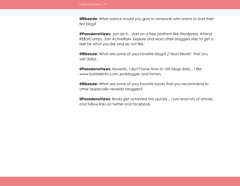**@Ribeezie:** What advice would you give to someone who wants to start their first blog?

**@PasadenaViews:** Just do it... start on a free platform like Wordpress. Attend REBarCamps. Join ActiveRain. Explore and read other bloggers sites to get a feel for what you like and do not like.

**@Ribeezie:** What are some of your favorite blogs? ("Must Reads" that you visit daily).

**@PasadenaViews:** Honestly, I don't have time to visit blogs daily... I like www.bubbleinfo.com, problogger, and Inman.

**@Ribeezie:** What are some of your favorite books that you recommend to other (especially newbie) bloggers?

**@PasadenaViews:** Books get outdated too quickly... I just read lots of articles and follow links on twitter and facebook.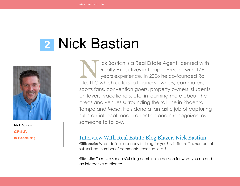## <span id="page-13-1"></span> **2** Nick Bastian



**Nick Bastian** [@RailLife](http://www.twitter.com/raillife) [raillife.com/blog](http://www.raillife.com/blog)

ick Bastian is a Real Estate Agent licensed with Realty Executives in Tempe, Arizona with 17+ years experience. In 2006 he co-founded Rail Life, LLC which caters to business owners, commuters, sports fans, convention goers, property owners, students, art lovers, vacationers, etc. in learning more about the areas and venues surrounding the rail line in Phoenix, Tempe and Mesa. He's done a fantastic job of capturing substantial local media attention and is recognized as someone to follow. N<br>III

### <span id="page-13-0"></span>Interview With Real Estate Blog Blazer, Nick Bastian

**@Ribeezie:** What defines a successful blog for you? Is it site traffic, number of subscribers, number of comments, revenue, etc.?

**@RailLife:** To me, a successful blog combines a passion for what you do and an interactive audience.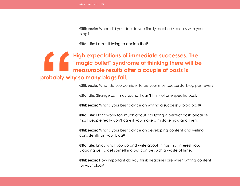**@Ribeezie:** When did you decide you finally reached success with your blog?

**@RailLife:** I am still trying to decide that!

## **High expectations of immediate successes. The "magic bullet" syndrome of thinking there will be measurable results after a couple of posts is probably why so many blogs fail. 1**

**@Ribeezie:** What do you consider to be your most successful blog post ever?

**@RailLife:** Strange as it may sound, I can't think of one specific post.

**@Ribeezie:** What's your best advice on writing a successful blog post?

**@RailLife:** Don't worry too much about "sculpting a perfect post" because most people really don't care if you make a mistake now and then...

**@Ribeezie:** What's your best advice on developing content and writing consistently on your blog?

**@RailLife:** Enjoy what you do and write about things that interest you. Blogging just to get something out can be such a waste of time.

**@Ribeezie:** How important do you think headlines are when writing content for your blog?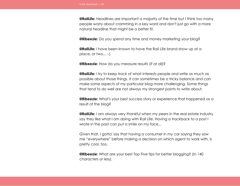**@RailLife:** Headlines are important a majority of the time but I think too many people worry about cramming in a key word and don't just go with a more natural headline that might be a better fit.

**@Ribeezie:** Do you spend any time and money marketing your blog?

**@RailLife:** I have been known to have the Rail Life brand show up at a place, or two... :-)

**@Ribeezie:** How do you measure results (if at all)?

**@RailLife:** I try to keep track of what interests people and write as much as possible about those things. It can sometimes be a tricky balance and can make some aspects of my particular blog more challenging. Some things that tend to do well are not always my strongest points to write about.

**@Ribeezie:** What's your best success story or experience that happened as a result of the blog?

**@RailLife:** I am always very thankful when my peers in the real estate industry say they like what I am doing with Rail Life. Having a trackback to a post I wrote in the past can put a smile on my face...

Given that, I gotta' say that having a consumer in my car saying they saw me "everywhere" before making a decision on which agent to work with, is pretty cool, too.

**@Ribeezie:** What are your best Top Five tips for better blogging? (In 140 characters or less).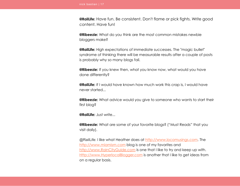**@RailLife:** Have fun. Be consistent. Don't flame or pick fights. Write good content. Have fun!

**@Ribeezie:** What do you think are the most common mistakes newbie bloggers make?

**@RailLife:** High expectations of immediate successes. The "magic bullet" syndrome of thinking there will be measurable results after a couple of posts is probably why so many blogs fail.

**@Ribeezie:** If you knew then, what you know now, what would you have done differently?

**@RailLife:** If I would have known how much work this crap is, I would have never started...

**@Ribeezie:** What advice would you give to someone who wants to start their first blog?

**@RailLife:** Just write...

**@Ribeezie:** What are some of your favorite blogs? ("Must Reads" that you visit daily).

@RailLife: I like what Heather does at [http://www.locomusings.com.](http://www.locomusings.com/) The [http://www.miamism.com](http://www.miamism.com/) blog is one of my favorites and [http://www.RainCityGuide.com](http://www.RainCityGuide.com/) is one that I like to try and keep up with. [Http://www.HyperlocalBlogger.com](http://www.HyperlocalBlogger.com/) is another that I like to get ideas from on a regular basis.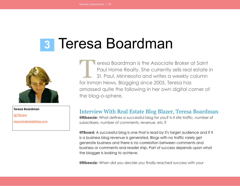## <span id="page-17-1"></span> **3** Teresa Boardman



**Teresa Boardman**

[@TBoard](http://www.twitter.com/tboard)

[stpaulrealestateblog.com](http://www.stpaulrealestateblog.com/)

eresa Boardman is the Associate Broker at Saint Paul Home Realty. She currently sells real estate in St. Paul, Minnesota and writes a weekly column for Inman News. Blogging since 2005, Teresa has amassed quite the following in her own digital corner of the blog-o-sphere.  $\prod_{\text{for } \text{lim}}$ 

### <span id="page-17-0"></span>Interview With Real Estate Blog Blazer, Teresa Boardman

**@Ribeezie:** What defines a successful blog for you? Is it site traffic, number of subscribers, number of comments, revenue, etc.?

**@TBoard:** A successful blog is one that is read by it's target audience and if it is a business blog revenue is generated. Blogs with no traffic rarely get generate business and there is no correlation between comments and business or comments and reader ship. Part of success depends upon what the blogger is looking to achieve.

**@Ribeezie:** When did you decide you finally reached success with your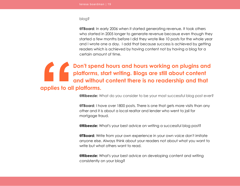#### blog?

**@TBoard:** In early 2006 when it started generating revenue. It took others who started in 2005 longer to generate revenue becasue even though they started a few months before I did they wrote like 10 posts for the whole year and I wrote one a day. I add that because success is achieved by getting readers which is achieved by having content not by having a blog for a certain amount of time.

**Don't spend hours and hours working on plugins and platforms, start writing. Blogs are still about content and without content there is no readership and that applies to all platforms. SEPTEMBER 1999** 

**@Ribeezie:** What do you consider to be your most successful blog post ever?

**@TBoard:** I have over 1800 posts. There is one that gets more visits than any other and it is about a local realtor and lender who went to jail for mortgage fraud.

**@Ribeezie:** What's your best advice on writing a successful blog post?

**@TBoard:** Write from your own experience in your own voice don't imitate anyone else. Always think about your readers not about what you want to write but what others want to read.

**@Ribeezie:** What's your best advice on developing content and writing consistently on your blog?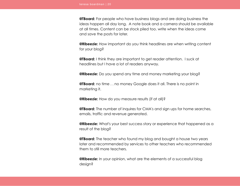**@TBoard:** For people who have business blogs and are doing business the ideas happen all day long. A note book and a camera should be available at all times. Content can be stock piled too. write when the ideas come and save the posts for later.

**@Ribeezie:** How important do you think headlines are when writing content for your blog?

**@TBoard:** I think they are important to get reader attention. I suck at headlines but I have a lot of readers anyway.

**@Ribeezie:** Do you spend any time and money marketing your blog?

**@TBoard:** no time . . no money Google does it all. There is no point in marketing it.

**@Ribeezie:** How do you measure results (if at all)?

**@TBoard:** The number of inquires for CMA's and sign ups for home searches, emails, traffic and revenue generated.

**@Ribeezie:** What's your best success story or experience that happened as a result of the blog?

**@TBoard:** The teacher who found my blog and bought a house two years later and recommended by services to other teachers who recommended them to still more teachers.

**@Ribeezie:** In your opinion, what are the elements of a successful blog design?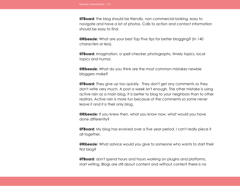**@TBoard:** the blog should be friendly, non commercial looking, easy to navigate and have a lot of photos. Calls to action and contact information should be easy to find.

**@Ribeezie:** What are your best Top Five tips for better blogging? (In 140 characters or less).

**@TBoard:** Imagination, a spell checker, photographs, timely topics, local topics and humor.

**@Ribeezie:** What do you think are the most common mistakes newbie bloggers make?

**@TBoard:** They give up too quickly. They don't get any comments so they don't write very much. A post a week isn't enough. The other mistake is using active rain as a main blog. It is better to blog to your neighbors than to other realtors. Active rain is more fun becasue of the comments so some never leave it and it is their only blog.

**@Ribeezie:** If you knew then, what you know now, what would you have done differently?

**@TBoard:** My blog has evolved over a five year period. I can't really piece it all together.

**@Ribeezie:** What advice would you give to someone who wants to start their first blog?

**@TBoard:** don't spend hours and hours working on plugins and platforms, start writing. Blogs are still about content and without content there is no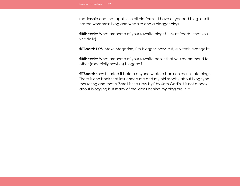readership and that applies to all platforms. I have a typepad blog, a self hosted wordpress blog and web site and a blogger blog.

**@Ribeezie:** What are some of your favorite blogs? ("Must Reads" that you visit daily).

**@TBoard:** DPS, Make Magazine, Pro blogger, news cut, MN tech evangelist.

**@Ribeezie:** What are some of your favorite books that you recommend to other (especially newbie) bloggers?

**@TBoard:** sorry I started it before anyone wrote a book on real estate blogs. There is one book that influenced me and my philosophy about blog type marketing and that is "Small is the New big" by Seth Godin It is not a book about blogging but many of the ideas behind my blog are in it.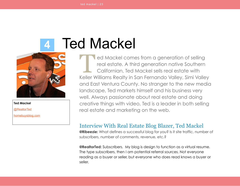# <span id="page-22-1"></span> **4** Ted Mackel



**Ted Mackel** [@RealtorTed](http://www.twitter.com/realtorted) [homebuysblog.com](http://www.homebuysblog.com/)

ed Mackel comes from a generation of selling real estate. A third generation native Southern Californian, Ted Mackel sells real estate with Keller Williams Realty in San Fernando Valley, Simi Valley and East Ventura County. No stranger to the new media landscape, Ted markets himself and his business very well. Always passionate about real estate and doing creative things with video, Ted is a leader in both selling real estate and marketing on the web.  $\prod_{\text{Kollor } V}$ 

### <span id="page-22-0"></span>Interview With Real Estate Blog Blazer, Ted Mackel

**@Ribeezie:** What defines a successful blog for you? Is it site traffic, number of subscribers, number of comments, revenue, etc.?

**@RealtorTed:** Subscribers. My blog is design to function as a virtual resume. The type subscribers, then I am potential referral sources. Not everyone reading as a buyer or seller, but everyone who does read knows a buyer or seller.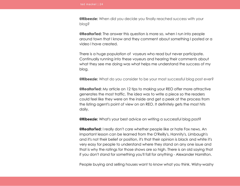**@Ribeezie:** When did you decide you finally reached success with your blog?

**@RealtorTed:** The answer this question is more so, when I run into people around town that I know and they comment about something I posted or a video I have created.

There is a huge population of voyeurs who read but never participate. Continually running into these voyeurs and hearing their comments about what they see me doing was what helps me understand the success of my blog.

**@Ribeezie:** What do you consider to be your most successful blog post ever?

**@RealtorTed:** My article on 12 tips to making your REO offer more attractive generates the most traffic. The idea was to write a piece so the readers could feel like they were on the inside and get a peek at the process from the listing agent's point of view on an REO. It definitely gets the most hits daily.

**@Ribeezie:** What's your best advice on writing a successful blog post?

**@RealtorTed:** I really don't care whether people like or hate Fox news. An important lesson can be learned from the O'Reilly's, Hannity's, Limbaugh's and it's not their belief or position, it's that their opinion is black and white it's very easy for people to understand where they stand on any one issue and that is why the ratings for those shows are so high. There is an old saying that if you don't stand for something you'll fall for anything - Alexander Hamilton.

People buying and selling houses want to know what you think. Wishy-washy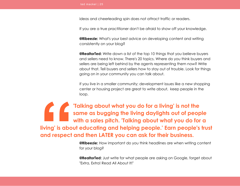ideas and cheerleading spin does not attract traffic or readers.

If you are a true practitioner don't be afraid to show off your knowledge.

**@Ribeezie:** What's your best advice on developing content and writing consistently on your blog?

**@RealtorTed:** Write down a list of the top 10 things that you believe buyers and sellers need to know. There's 20 topics. Where do you think buyers and sellers are being left behind by the agents representing them now? Write about that. Tell buyers and sellers how to stay out of trouble. Look for things going on in your community you can talk about.

If you live in a smaller community; development issues like a new shopping center or housing project are great to write about, keep people in the loop.

**'Talking about what you do for a living' is not the same as bugging the living daylights out of people with a sales pitch. 'Talking about what you do for a living' is about educating and helping people.' Earn people's trust and respect and then LATER you can ask for their business. 1**<br>**Iiving' is abo**<br>and respect

**@Ribeezie:** How important do you think headlines are when writing content for your blog?

**@RealtorTed:** Just write for what people are asking on Google, forget about "Extra, Extra! Read All About It!"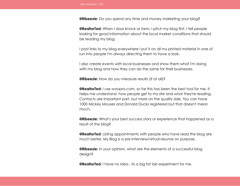**@Ribeezie:** Do you spend any time and money marketing your blog?

**@RealtorTed:** When I door knock or farm, I pitch my blog first. I tell people looking for good information about the local market conditions that should be reading my blog.

I post links to my blog everywhere I put it on all my printed material in one of run into people I'm always directing them to have a look.

I also create events with local businesses and show them what I'm doing with my blog and how they can do the same for their businesses.

**@Ribeezie:** How do you measure results (if at all)?

**@RealtorTed:** I use woopra.com, so far this has been the best tool for me. It helps me understand how people get to my site and what they're reading. Contacts are important part, but more on the quality side. You can have 1000 Mickey Mouses and Donald Ducks registered but that doesn't mean much.

**@Ribeezie:** What's your best success story or experience that happened as a result of the blog?

**@RealtorTed:** Listing appointments with people who have read the blog are much better. My Blog is a pre-interview/virtual resume on purpose.

**@Ribeezie:** In your opinion, what are the elements of a successful blog design?

**@RealtorTed:** I have no Idea - its a big fat lab experiment for me.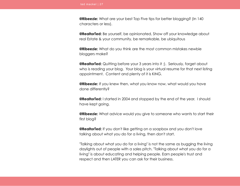**@Ribeezie:** What are your best Top Five tips for better blogging? (In 140 characters or less).

**@RealtorTed:** Be yourself, be opinionated, Show off your knowledge about real Estate & your community, be remarkable, be ubiquitous

**@Ribeezie:** What do you think are the most common mistakes newbie bloggers make?

**@RealtorTed:** Quitting before your 3 years into it ;). Seriously, forget about who is reading your blog. Your blog is your virtual resume for that next listing appointment. Content and plenty of it is KING.

**@Ribeezie:** If you knew then, what you know now, what would you have done differently?

**@RealtorTed:** I started in 2004 and stopped by the end of the year. I should have kept going.

**@Ribeezie:** What advice would you give to someone who wants to start their first blog?

**@RealtorTed:** If you don't like getting on a soapbox and you don't love talking about what you do for a living, then don't start.

"Talking about what you do for a living" is not the same as bugging the living daylights out of people with a sales pitch. "Talking about what you do for a living" is about educating and helping people. Earn people's trust and respect and then LATER you can ask for their business.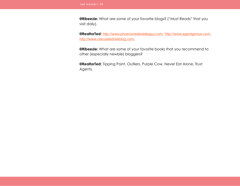**@Ribeezie:** What are some of your favorite blogs? ("Must Reads" that you visit daily).

**@RealtorTed:** [http://www.phoenixrealestateguy.com](http://www.phoenixrealestateguy.com/), [http://www.agentgenius.com](http://www.agentgenius.com/), [http://www.calculatedriskblog.com](http://www.calculatedriskblog.com/).

**@Ribeezie:** What are some of your favorite books that you recommend to other (especially newbie) bloggers?

**@RealtorTed:** Tipping Point, Outliers, Purple Cow, Never Eat Alone, Trust Agents.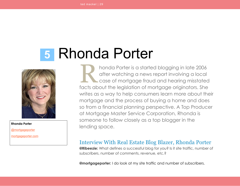# <span id="page-28-1"></span> **5** Rhonda Porter



**Rhonda Porter** [@mortgageporter](http://www.twitter.com/mortgageporter)

[mortgageporter.com](http://www.mortgageporter.com/)

honda Porter is a started blogging in late 2006 after watching a news report involving a local case of mortgage fraud and hearing misstated facts about the legislation of mortgage originators. She writes as a way to help consumers learn more about their mortgage and the process of buying a home and does so from a financial planning perspective. A Top Producer at Mortgage Master Service Corporation, Rhonda is someone to follow closely as a top blogger in the lending space. R

### <span id="page-28-0"></span>Interview With Real Estate Blog Blazer, Rhonda Porter

**@Ribeezie:** What defines a successful blog for you? Is it site traffic, number of subscribers, number of comments, revenue, etc.?

**@mortgageporter:** I do look at my site traffic and number of subscribers.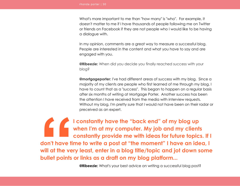What's more important to me than "how many" is "who". For example, it doesn't matter to me if I have thousands of people following me on Twitter or friends on Facebook if they are not people who I would like to be having a dialogue with.

In my opinion, comments are a great way to measure a successful blog. People are interested in the content and what you have to say and are engaged with you.

**@Ribeezie:** When did you decide you finally reached success with your blog?

**@mortgageporter:** I've had different areas of success with my blog. Since a majority of my clients are people who first learned of me through my blog, I have to count that as a "success". This began to happen on a regular basis after six months of writing at Mortgage Porter. Another success has been the attention I have received from the media with interview requests. Without my blog, I'm pretty sure that I would not have been on their radar or preceived as an expert.

**I constantly have the "back end" of my blog up when I'm at my computer. My job and my clients constantly provide me with ideas for future topics. If I don't have time to write a post at "the moment" I have an idea, I will at the very least, enter in a blog title/topic and jot down some bullet points or links as a draft on my blog platform... "**

**@Ribeezie:** What's your best advice on writing a successful blog post?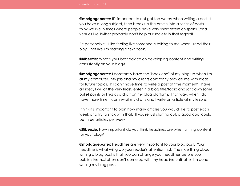**@mortgageporter:** It's important to not get too wordy when writing a post. If you have a long subject, then break up the article into a series of posts. I think we live in times where people have very short attention spans...and venues like Twitter probably don't help our society in that regard!

Be personable. I like feeling like someone is talking to me when I read their blog...not like I'm reading a text book.

**@Ribeezie:** What's your best advice on developing content and writing consistently on your blog?

**@mortgageporter:** I constantly have the "back end" of my blog up when I'm at my computer. My job and my clients constantly provide me with ideas for future topics. If I don't have time to write a post at "the moment" I have an idea, I will at the very least, enter in a blog title/topic and jot down some bullet points or links as a draft on my blog platform. That way, when I do have more time, I can revisit my drafts and I write an article at my leisure.

I think it's important to plan how many articles you would like to post each week and try to stick with that. If you're just starting out, a good goal could be three articles per week.

**@Ribeezie:** How important do you think headlines are when writing content for your blog?

**@mortgageporter:** Headlines are very important to your blog post. Your headline is what will grab your reader's attention first. The nice thing about writing a blog post is that you can change your headlines before you publish them...I often don't come up with my headline until after I'm done writing my blog post.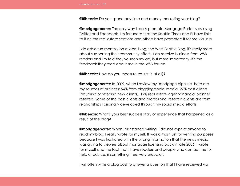**@Ribeezie:** Do you spend any time and money marketing your blog?

**@mortgageporter:** The only way I really promote Mortgage Porter is by using Twitter and Facebook. I'm fortunate that the Seattle Times and PI have links to it on the real estate sections and others have promoted it for me via links.

I do advertise monthly on a local blog, the West Seattle Blog, it's really more about supporting their community efforts. I do receive business from WSB readers and I'm told they've seen my ad, but more importantly, it's the feedback they read about me in the WSB forums.

**@Ribeezie:** How do you measure results (if at all)?

**@mortgageporter:** In 2009, when I review my "mortgage pipeline" here are my sources of business: 54% from blogging/social media, 27% past clients (returning or referring new clients), 19% real estate agent/financial planner referred. Some of the past clients and professional referred clients are from relationships I originally developed through my social media efforts.

**@Ribeezie:** What's your best success story or experience that happened as a result of the blog?

**@mortgageporter:** When I first started writing, I did not expect anyone to read my blog. I really wrote for myself. It was almost just for venting purposes because I was frustrated with the wrong information that the news media was giving to viewers about mortgage licensing back in late 2006. I wrote for myself and the fact that I have readers and people who contact me for help or advice, is something I feel very proud of.

I will often write a blog post to answer a question that I have received via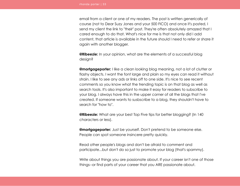email from a client or one of my readers. The post is written generically of course (not to Dear Suzy Jones and your 500 FICO) and once it's posted, I send my client the link to "their" post. They're often absolutely amazed that I cared enough to do that. What's nice for me is that not only did I add content, that article is available in the future should I need to refer or share it again with another blogger.

**@Ribeezie:** In your opinion, what are the elements of a successful blog design?

**@mortgageporter:** I like a clean looking blog meaning, not a lot of clutter or flashy objects. I want the font large and plain so my eyes can read it without strain. I like to see any ads or links off to one side. It's nice to see recent comments so you know what the trending topic is on that blog as well as search tools. It's also important to make it easy for readers to subscribe to your blog. I always have this in the upper corner of all the blogs that I've created. If someone wants to susbscribe to a blog, they shouldn't have to search for "how to".

**@Ribeezie:** What are your best Top Five tips for better blogging? (In 140 characters or less).

**@mortgageporter:** Just be yourself. Don't pretend to be someone else. People can spot someone insincere pretty quickly.

Read other people's blogs and don't be afraid to comment and participate...but don't do so just to promote your blog (that's spammy).

Write about things you are passionate about. If your career isn't one of those things--or find parts of your career that you ARE passionate about.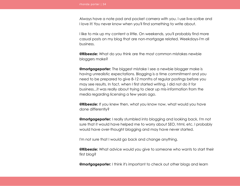Always have a note pad and pocket camera with you. I use live-scribe and I love it! You never know when you'll find something to write about.

I like to mix up my content a little. On weekends, you'll probably find more casual posts on my blog that are non-mortgage related. Weekdays-I'm all business.

**@Ribeezie:** What do you think are the most common mistakes newbie bloggers make?

**@mortgageporter:** The biggest mistake I see a newbie blogger make is having unrealistic expectations. Blogging is a time commitment and you need to be prepared to give 8-12 months of regular postings before you may see results. In fact, when I first started writing, I did not do it for business...it was really about trying to clear up mis-information from the media regarding licensing a few years ago.

**@Ribeezie:** If you knew then, what you know now, what would you have done differently?

**@mortgageporter:** I really stumbled into blogging and looking back, I'm not sure that it would have helped me to worry about SEO, html, etc. I probably would have over-thought blogging and may have never started.

I'm not sure that I would go back and change anything.

**@Ribeezie:** What advice would you give to someone who wants to start their first blog?

**@mortgageporter:** I think it's important to check out other blogs and learn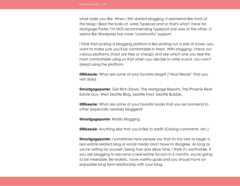what styles you like. When I first started blogging, it seememd like most of the blogs I liked the looks of, were Typepad and so that's what I have for Mortgage Porter. I'm NOT recommending Typepad one way or the other...it seems like Wordpress has more "community" support.

I think that picking a blogging platfrom is like picking out a pair of shoes--you want to make sure you'll be comfortable in them. With blogging, check out various platforms (most are free or cheap) and see which one you feel the most comfortable using so that when you decide to write a post, you won't dread using the platform.

**@Ribeezie:** What are some of your favorite blogs? ("Must Reads" that you visit daily).

**@mortgageporter:** Get Rich Slowly, The Mortgage Reports, The Phoenix Real Estate Guy, West Seattle Blog, Seattle Twist, Seattle Bubble.

**@Ribeezie:** What are some of your favorite books that you recommend to other (especially newbie) bloggers?

**@mortgageporter:** Realty Blogging.

**@Ribeezie:** Anything else that you'd like to add? (Closing comments, etc.)

**@mortgageporter:** I sometimes hear people say that it's too late to begin a real estate related blog or social media and I have to disagree. As long as you're writing for yourself, being true and allow time, I think it's worthwhile. If you are blogging to become a real estate tycoon in 6 months, you're going to be miserable. Be realistic, have worthy goals and you should have an enjoyable long term relationship with your blog.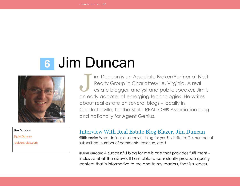# <span id="page-35-1"></span> **6** Jim Duncan



**Jim Duncan**

[@JimDuncan](http://www.twitter.com/jimduncan)

[realcentralva.com](http://www.realcentralva.com/)

im Duncan is an Associate Broker/Partner at Nest Realty Group in Charlottesville, Virginia. A real estate blogger, analyst and public speaker, Jim is an early adopter of emerging technologies. He writes about real estate on several blogs – locally in Charlottesville, for the State REALTOR® Association blog and nationally for Agent Genius. J

### <span id="page-35-0"></span>Interview With Real Estate Blog Blazer, Jim Duncan

**@Ribeezie:** What defines a successful blog for you? Is it site traffic, number of subscribers, number of comments, revenue, etc.?

**@JimDuncan:** A successful blog for me is one that provides fulfillment inclusive of all the above. If I am able to consistently produce quality content that is informative to me and to my readers, that is success.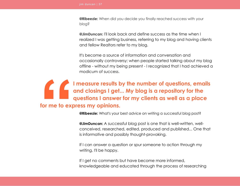**@Ribeezie:** When did you decide you finally reached success with your blog?

**@JimDuncan:** I'll look back and define success as the time when I realized I was getting business, referring to my blog and having clients and fellow Realtors refer to my blog.

It's become a source of information and conversation and occasionally controversy; when people started talking about my blog offline - without my being present - I recognized that I had achieved a modicum of success.

## **I measure results by the number of questions, emails and closings I get... My blog is a repository for the questions I answer for my clients as well as a place for me to express my opinions. "**

**@Ribeezie:** What's your best advice on writing a successful blog post?

**@JimDuncan:** A successful blog post is one that is well-written, wellconceived, researched, edited, produced and published... One that is informative and possibly thought-provoking.

If I can answer a question or spur someone to action through my writing, I'll be happy.

If I get no comments but have become more informed, knowledgeable and educated through the process of researching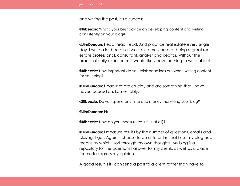and writing the post, it's a success.

**@Ribeezie:** What's your best advice on developing content and writing consistently on your blog?

**@JimDuncan:** Read, read, read. And practice real estate every single day. I write a lot because I work extremely hard at being a great real estate professional, consultant, analyst and Realtor. Without the practical daily experience, I would likely have nothing to write about.

**@Ribeezie:** How important do you think headlines are when writing content for your blog?

**@JimDuncan:** Headlines are crucial, and are something that I have never focused on. Lamentably.

**@Ribeezie:** Do you spend any time and money marketing your blog?

**@JimDuncan:** No.

**@Ribeezie:** How do you measure results (if at all)?

**@JimDuncan:** I measure results by the number of questions, emails and closings I get. Again, I choose to be different in that I use my blog as a means by which I sort through my own thoughts. My blog is a repository for the questions I answer for my clients as well as a place for me to express my opinions.

A good result is if I can send a post to a client rather than have to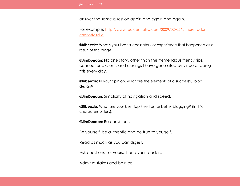answer the same question again and again and again.

For example: [http://www.realcentralva.com/2009/02/05/is-there-radon-in](http://www.realcentralva.com/2009/02/05/is-there-radon-in-charlottesville)[charlottesville](http://www.realcentralva.com/2009/02/05/is-there-radon-in-charlottesville)

**@Ribeezie:** What's your best success story or experience that happened as a result of the blog?

**@JimDuncan:** No one story, other than the tremendous friendships, connections, clients and closings I have generated by virtue of doing this every day.

**@Ribeezie:** In your opinion, what are the elements of a successful blog design?

**@JimDuncan:** Simplicity of navigation and speed.

**@Ribeezie:** What are your best Top Five tips for better blogging? (In 140 characters or less).

**@JimDuncan:** Be consistent.

Be yourself, be authentic and be true to yourself.

Read as much as you can digest.

Ask questions - of yourself and your readers.

Admit mistakes and be nice.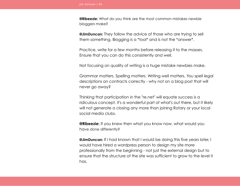**@Ribeezie:** What do you think are the most common mistakes newbie bloggers make?

**@JimDuncan:** They follow the advice of those who are trying to sell them something. Blogging is a \*tool\* and is not the \*answer\*.

Practice, write for a few months before releasing it to the masses. Ensure that you can do this consistently and well.

Not focusing on quality of writing is a huge mistake newbies make.

Grammar matters. Spelling matters. Writing well matters. You spell legal descriptions on contracts correctly - why not on a blog post that will never go away?

Thinking that participation in the "re.net" will equate success is a ridiculous concept. It's a wonderful part of what's out there, but it likely will not generate a closing any more than joining Rotary or your local social media clubs.

**@Ribeezie:** If you knew then what you know now, what would you have done differently?

**@JimDuncan:** If I had known that I would be doing this five years later, I would have hired a wordpress person to design my site more professionally from the beginning - not just the external design but to ensure that the structure of the site was sufficient to grow to the level it has.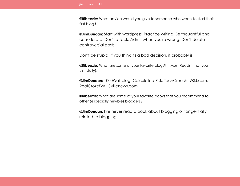**@Ribeezie:** What advice would you give to someone who wants to start their first blog?

**@JimDuncan:** Start with wordpress. Practice writing. Be thoughtful and considerate. Don't attack. Admit when you're wrong. Don't delete controversial posts.

Don't be stupid. If you think it's a bad decision, it probably is.

**@Ribeezie:** What are some of your favorite blogs? ("Must Reads" that you visit daily).

**@JimDuncan:** 1000Wattblog, Calculated Risk, TechCrunch, WSJ.com, RealCrozetVA, Cvillenews.com.

**@Ribeezie:** What are some of your favorite books that you recommend to other (especially newbie) bloggers?

**@JimDuncan:** I've never read a book about blogging or tangentially related to blogging.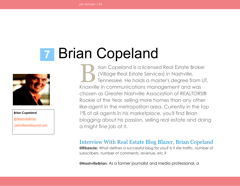# <span id="page-41-1"></span> **7** Brian Copeland



**Brian Copeland** [@NashvilleBrian](http://www.twitter.com/nashvillebrian) [nashvilleandbeyond.com](http://www.nashvilleandbeyond.com/)

rian Copeland is a licensed Real Estate Broker (Village Real Estate Services) in Nashville, Tennessee. He holds a master's degree from UT, Knoxville in communications management and was chosen as Greater Nashville Association of REALTORS® Rookie of the Year, selling more homes than any other like-agent in the metropolitan area. Currently in the top 1% of all agents in his marketplace, you'll find Brian blogging about his passion, selling real estate and doing a might fine job at it.  $\sum_{\text{Knowill}}$ 

#### <span id="page-41-0"></span>Interview With Real Estate Blog Blazer, Brian Copeland **@Ribeezie:** What defines a successful blog for you? Is it site traffic, number of

subscribers, number of comments, revenue, etc.?

**@NashvilleBrian:** As a former journalist and media professional, a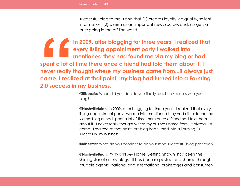successful blog to me is one that (1) creates loyalty via quality, salient information; (2) is seen as an important news source; and, (3) gets a buzz going in the off-line world.

**In 2009, after blogging for three years, I realized that every listing appointment party I walked into mentioned they had found me via my blog or had spent a lot of time there once a friend had told them about it. I never really thought where my business came from...it always just came. I realized at that point, my blog had turned into a Farming 2.0 success in my business. Spent a lot of**<br>**Spent a lot of**<br>**never really**<br>**came. I reali**<br>2.0 success i

**@Ribeezie:** When did you decide you finally reached success with your blog?

**@NashvilleBrian:** In 2009, after blogging for three years, I realized that every listing appointment party I walked into mentioned they had either found me via my blog or had spent a lot of time there once a friend had told them about it. I never really thought where my business came from...it always just came. I realized at that point, my blog had turned into a Farming 2.0 success in my business.

**@Ribeezie:** What do you consider to be your most successful blog post ever?

**@NashvilleBrian:** "Why Isn't My Home Getting Shown" has been the shining star of all my blogs. It has been re-posted and shared through multiple agents, national and international brokerages and consumer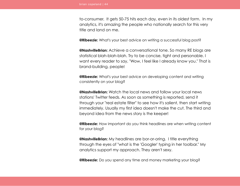to-consumer. It gets 50-75 hits each day, even in its oldest form. In my analytics, it's amazing the people who nationally search for this very title and land on me.

**@Ribeezie:** What's your best advice on writing a successful blog post?

**@NashvilleBrian:** Achieve a conversational tone. So many RE blogs are statistical blah-blah-blah. Try to be concise, tight and personable. I want every reader to say, "Wow, I feel like I already know you." That is brand-building, people!

**@Ribeezie:** What's your best advice on developing content and writing consistently on your blog?

**@NashvilleBrian:** Watch the local news and follow your local news stations' Twitter feeds. As soon as something is reported, send it through your "real estate filter" to see how it's salient, then start writing immediately. Usually my first idea doesn't make the cut. The third and beyond idea from the news story is the keeper!

**@Ribeezie:** How important do you think headlines are when writing content for your blog?

**@NashvilleBrian:** My headlines are bor-or-oring. I title everything through the eyes of "what is the 'Googler' typing in her toolbar." My analytics support my approach. They aren't sexy.

**@Ribeezie:** Do you spend any time and money marketing your blog?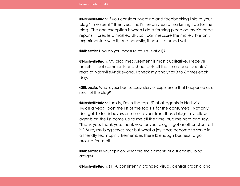**@NashvilleBrian:** If you consider tweeting and facebooking links to your blog "time spent," then yes. That's the only extra marketing I do for the blog. The one exception is when I do a farming piece on my zip code reports. I create a masked URL so I can measure the mailer. I've only experimented with it, and honestly, it hasn't returned yet.

**@Ribeezie:** How do you measure results (if at all)?

**@NashvilleBrian:** My blog measurement is most qualitative. I receive emails, street comments and shout outs all the time about peoples' read of NashvilleAndBeyond. I check my analytics 3 to 6 times each day.

**@Ribeezie:** What's your best success story or experience that happened as a result of the blog?

**@NashvilleBrian:** Luckily, I'm in the top 1% of all agents in Nashville. Twice a year, I post the list of the top 1% for the consumers. Not only do I get 10 to 15 buyers or sellers a year from those blogs, my fellow agents on the list come up to me all the time, hug me hard and say, "Thank you, thank you, thank you for your blog. I got another client off it." Sure, my blog serves me; but what a joy it has become to serve in a friendly team spirit. Remember, there IS enough business to go around for us all.

**@Ribeezie:** In your opinion, what are the elements of a successful blog design?

**@NashvilleBrian:** (1) A consistently branded visual, central graphic and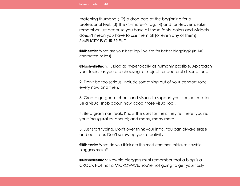matching thumbnail; (2) a drop cap at the beginning for a professional feel; (3) The <!--more--> tag; (4) and for Heaven's sake, remember just because you have all those fonts, colors and widgets doesn't mean you have to use them all (or even any of them). SIMPLICITY IS OUR FRIEND.

**@Ribeezie:** What are your best Top Five tips for better blogging? (In 140 characters or less).

**@NashvilleBrian:** 1. Blog as hyperlocally as humanly possible. Approach your topics as you are choosing a subject for doctoral dissertations.

2. Don't be too serious. Include something out of your comfort zone every now and then.

3. Create gorgeous charts and visuals to support your subject matter. Be a visual snob about how good those visual look!

4. Be a grammar freak. Know the uses for their, they're, there; you're, your; inaugural vs. annual; and many, many more.

5. Just start typing. Don't over think your intro. You can always erase and edit later. Don't screw up your creativity.

**@Ribeezie:** What do you think are the most common mistakes newbie bloggers make?

**@NashvilleBrian:** Newbie bloggers must remember that a blog is a CROCK POT not a MICROWAVE. You're not going to get your tasty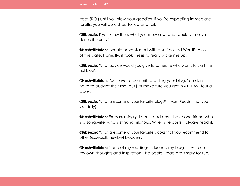treat (ROI) until you stew your goodies. If you're expecting immediate results, you will be disheartened and fail.

**@Ribeezie:** If you knew then, what you know now, what would you have done differently?

**@NashvilleBrian:** I would have started with a self-hosted WordPress out of the gate. Honestly, it took Thesis to really wake me up.

**@Ribeezie:** What advice would you give to someone who wants to start their first blog?

**@NashvilleBrian:** You have to commit to writing your blog. You don't have to budget the time, but just make sure you get in AT LEAST four a week.

**@Ribeezie:** What are some of your favorite blogs? ("Must Reads" that you visit daily).

**@NashvilleBrian:** Embarrassingly, I don't read any. I have one friend who is a songwriter who is stinking hilarious. When she posts, I always read it.

**@Ribeezie:** What are some of your favorite books that you recommend to other (especially newbie) bloggers?

**@NashvilleBrian:** None of my readings influence my blogs. I try to use my own thoughts and inspiration. The books I read are simply for fun.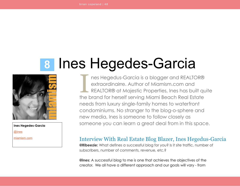# <span id="page-47-1"></span> **8** Ines Hegedes-Garcia



**Ines Hegedes-Garcia** [@ines](http://www.twitter.com/ines) [miamism.com](http://www.miamism.com/)

nes Hegedus-Garcia is a blogger and REALTOR® extraordinairre. Author of Miamism.com and REALTOR® at Majestic Properties, Ines has built quite the brand for herself serving Miami Beach Real Estate needs from luxury single-family homes to waterfront condominiums. No stranger to the blog-o-sphere and new media, Ines is someone to follow closely as someone you can learn a great deal from in this space. I

#### <span id="page-47-0"></span>Interview With Real Estate Blog Blazer, Ines Hegedus-Garcia

**@Ribeezie:** What defines a successful blog for you? Is it site traffic, number of subscribers, number of comments, revenue, etc.?

**@ines:** A successful blog to me is one that achieves the objectives of the creator. We all have a different approach and our goals will vary - from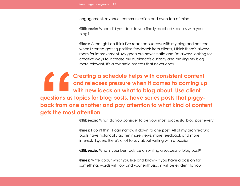engagement, revenue, communication and even top of mind.

**@Ribeezie:** When did you decide you finally reached success with your blog?

**@ines:** Although I do think I've reached success with my blog and noticed when I started getting positive feedback from clients, I think there's always room for improvement. My goals are never static and I'm always looking for creative ways to increase my audience's curiosity and making my blog more relevant. It's a dynamic process that never ends.

**Creating a schedule helps with consistent content and releases pressure when it comes to coming up with new ideas on what to blog about. Use client questions as topics for blog posts, have series posts that piggyback from one another and pay attention to what kind of content gets the most attention. Example 15**<br>questions as<br>back from of<br>gets the mos

**@Ribeezie:** What do you consider to be your most successful blog post ever?

**@ines:** I don't think I can narrow it down to one post. All of my architectural posts have historically gotten more views, more feedback and more interest. I guess there's a lot to say about writing with a passion.

**@Ribeezie:** What's your best advice on writing a successful blog post?

**@ines:** Write about what you like and know - if you have a passion for something, words will flow and your enthusiasm will be evident to your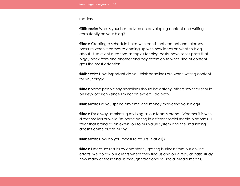readers.

**@Ribeezie:** What's your best advice on developing content and writing consistently on your blog?

**@ines:** Creating a schedule helps with consistent content and releases pressure when it comes to coming up with new ideas on what to blog about. Use client questions as topics for blog posts, have series posts that piggy back from one another and pay attention to what kind of content gets the most attention.

**@Ribeezie:** How important do you think headlines are when writing content for your blog?

**@ines:** Some people say headlines should be catchy, others say they should be keyword rich - since I'm not an expert, I do both.

**@Ribeezie:** Do you spend any time and money marketing your blog?

**@ines:** I'm always marketing my blog as our team's brand. Whether it is with direct mailers or while I'm participating in different social media platforms. I treat that brand as an extension to our value system and the "marketing" doesn't come out as pushy.

**@Ribeezie:** How do you measure results (if at all)?

**@ines:** I measure results by consistently getting business from our on-line efforts. We do ask our clients where they find us and on a regular basis study how many of those find us through traditional vs. social media means.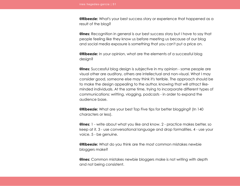**@Ribeezie:** What's your best success story or experience that happened as a result of the blog?

**@ines:** Recognition in general is our best success story but I have to say that people feeling like they know us before meeting us because of our blog and social media exposure is something that you can't put a price on.

**@Ribeezie:** In your opinion, what are the elements of a successful blog design?

**@ines:** Successful blog design is subjective in my opinion - some people are visual other are auditory, others are intellectual and non-visual. What I may consider good, someone else may think it's terrible. The approach should be to make the design appealing to the author, knowing that will attract likeminded individuals. At the same time, trying to incorporate different types of communications: writting, vlogging, podcasts - in order to expand the audience base.

**@Ribeezie:** What are your best Top Five tips for better blogging? (In 140 characters or less).

**@ines:** 1 - write about what you like and know. 2 - practice makes better, so keep at it. 3 - use conversational language and drop formalities. 4 - use your voice. 5 - be genuine.

**@Ribeezie:** What do you think are the most common mistakes newbie bloggers make?

**@ines:** Common mistakes newbie bloggers make is not writing with depth and not being consistent.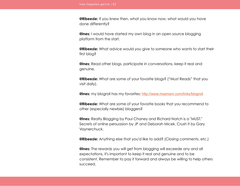**@Ribeezie:** If you knew then, what you know now, what would you have done differently?

**@ines:** I would have started my own blog in an open source blogging platform from the start.

**@Ribeezie:** What advice would you give to someone who wants to start their first blog?

**@ines:** Read other blogs, participate in conversations, keep it real and genuine.

**@Ribeezie:** What are some of your favorite blogs? ("Must Reads" that you visit daily).

**@ines:** my blogroll has my favorites: <http://www.miamism.com/links/blogroll>

**@Ribeezie:** What are some of your favorite books that you recommend to other (especially newbie) bloggers?

**@ines:** Realty Blogging by Paul Chaney and Richard Natch is a "MUST." Secrets of online persuasion by JP and Deborah Micek. Crush it by Gary Vaynerchuck.

**@Ribeezie:** Anything else that you'd like to add? (Closing comments, etc.)

**@ines:** The rewards you will get from blogging will exceede any and all expectations, it's important to keep it real and genuine and to be consistent. Remember to pay it forward and always be willing to help others succeed.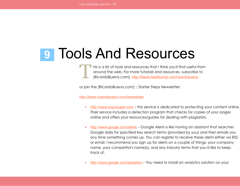## <span id="page-52-0"></span> **9** Tools And Resources

his is a list of tools and resources that I think you'll find useful from around the web. For more tutorials and resources, subscribe to [RicardoBueno.com]: <http://feeds.feedburner.com/ricardobueno>

or join the [RicardoBueno.com] :: Starter Steps Newsletter:

<http://www.ricardobueno.com/newsletter>

- • [http://www.copyscape.com](http://www.copyscape.com/) this service is dedicated to protecting your content online. Their service includes a detection program that checks for copies of your pages online and offers your resources/guides for dealing with plagiarists.
- •<http://www.google.com/alerts> Google Alerts is like having an assistant that searches Google daily for specified key search terms (provided by you) and then emails you any time something comes up. You can register to receive these alerts either via RSS or email. I recommend you sign up for alerts on a couple of things: your company name, your competitor's name(s), and any industry terms that you'd like to keep track of.
- •<http://www.google.com/analytics> You need to install an analytics solution on your